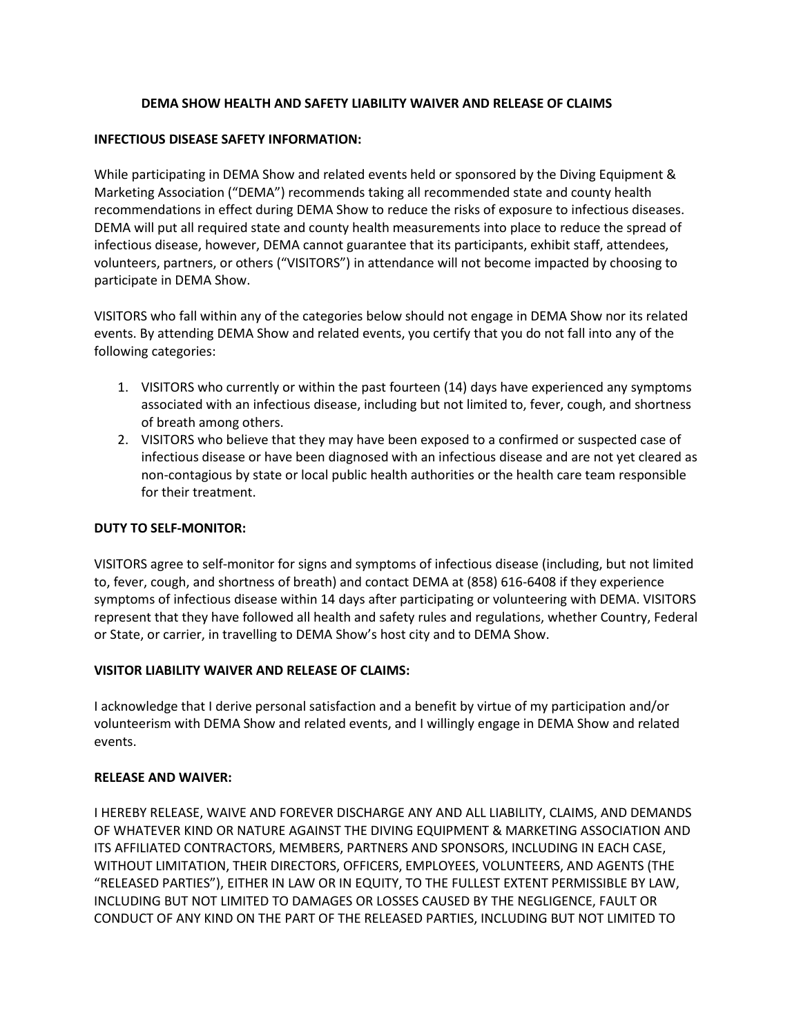## **DEMA SHOW HEALTH AND SAFETY LIABILITY WAIVER AND RELEASE OF CLAIMS**

### **INFECTIOUS DISEASE SAFETY INFORMATION:**

While participating in DEMA Show and related events held or sponsored by the Diving Equipment & Marketing Association ("DEMA") recommends taking all recommended state and county health recommendations in effect during DEMA Show to reduce the risks of exposure to infectious diseases. DEMA will put all required state and county health measurements into place to reduce the spread of infectious disease, however, DEMA cannot guarantee that its participants, exhibit staff, attendees, volunteers, partners, or others ("VISITORS") in attendance will not become impacted by choosing to participate in DEMA Show.

VISITORS who fall within any of the categories below should not engage in DEMA Show nor its related events. By attending DEMA Show and related events, you certify that you do not fall into any of the following categories:

- 1. VISITORS who currently or within the past fourteen (14) days have experienced any symptoms associated with an infectious disease, including but not limited to, fever, cough, and shortness of breath among others.
- 2. VISITORS who believe that they may have been exposed to a confirmed or suspected case of infectious disease or have been diagnosed with an infectious disease and are not yet cleared as non-contagious by state or local public health authorities or the health care team responsible for their treatment.

### **DUTY TO SELF-MONITOR:**

VISITORS agree to self-monitor for signs and symptoms of infectious disease (including, but not limited to, fever, cough, and shortness of breath) and contact DEMA at (858) 616-6408 if they experience symptoms of infectious disease within 14 days after participating or volunteering with DEMA. VISITORS represent that they have followed all health and safety rules and regulations, whether Country, Federal or State, or carrier, in travelling to DEMA Show's host city and to DEMA Show.

### **VISITOR LIABILITY WAIVER AND RELEASE OF CLAIMS:**

I acknowledge that I derive personal satisfaction and a benefit by virtue of my participation and/or volunteerism with DEMA Show and related events, and I willingly engage in DEMA Show and related events.

#### **RELEASE AND WAIVER:**

I HEREBY RELEASE, WAIVE AND FOREVER DISCHARGE ANY AND ALL LIABILITY, CLAIMS, AND DEMANDS OF WHATEVER KIND OR NATURE AGAINST THE DIVING EQUIPMENT & MARKETING ASSOCIATION AND ITS AFFILIATED CONTRACTORS, MEMBERS, PARTNERS AND SPONSORS, INCLUDING IN EACH CASE, WITHOUT LIMITATION, THEIR DIRECTORS, OFFICERS, EMPLOYEES, VOLUNTEERS, AND AGENTS (THE "RELEASED PARTIES"), EITHER IN LAW OR IN EQUITY, TO THE FULLEST EXTENT PERMISSIBLE BY LAW, INCLUDING BUT NOT LIMITED TO DAMAGES OR LOSSES CAUSED BY THE NEGLIGENCE, FAULT OR CONDUCT OF ANY KIND ON THE PART OF THE RELEASED PARTIES, INCLUDING BUT NOT LIMITED TO